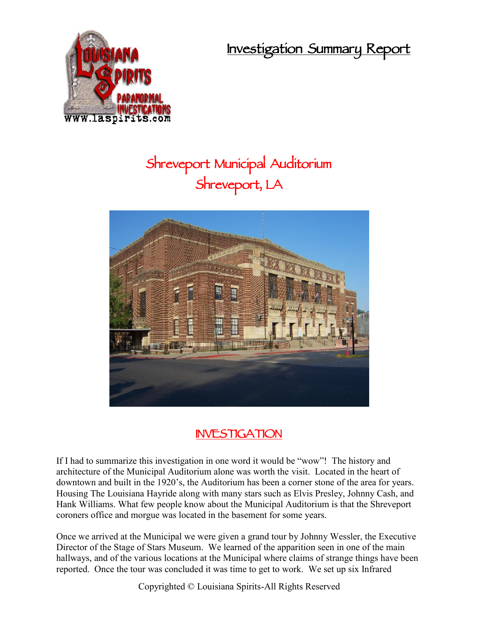**Investigation Summary Report**



## **Shreveport Municipal Auditorium Shreveport, LA**



## **INVESTIGATION**

If I had to summarize this investigation in one word it would be "wow"! The history and architecture of the Municipal Auditorium alone was worth the visit. Located in the heart of downtown and built in the 1920's, the Auditorium has been a corner stone of the area for years. Housing The Louisiana Hayride along with many stars such as Elvis Presley, Johnny Cash, and Hank Williams. What few people know about the Municipal Auditorium is that the Shreveport coroners office and morgue was located in the basement for some years.

Once we arrived at the Municipal we were given a grand tour by Johnny Wessler, the Executive Director of the Stage of Stars Museum. We learned of the apparition seen in one of the main hallways, and of the various locations at the Municipal where claims of strange things have been reported. Once the tour was concluded it was time to get to work. We set up six Infrared

Copyrighted © Louisiana Spirits-All Rights Reserved